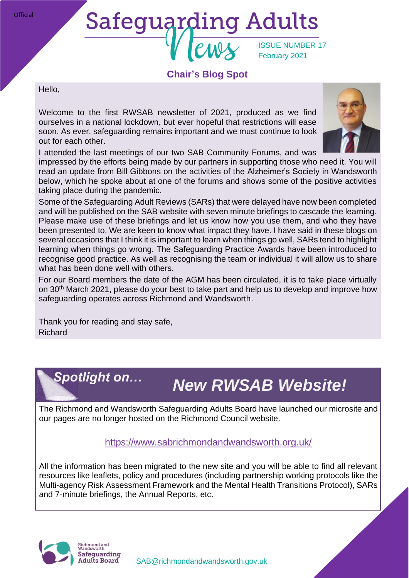# **Safeguarding Adults** ISSUE NUMBER 17 February 2021

## **Chair's Blog Spot**

Hello,

**Official** 

Welcome to the first RWSAB newsletter of 2021, produced as we find ourselves in a national lockdown, but ever hopeful that restrictions will ease soon. As ever, safeguarding remains important and we must continue to look out for each other.



I attended the last meetings of our two SAB Community Forums, and was

impressed by the efforts being made by our partners in supporting those who need it. You will read an update from Bill Gibbons on the activities of the Alzheimer's Society in Wandsworth below, which he spoke about at one of the forums and shows some of the positive activities taking place during the pandemic.

Some of the Safeguarding Adult Reviews (SARs) that were delayed have now been completed and will be published on the SAB website with seven minute briefings to cascade the learning. Please make use of these briefings and let us know how you use them, and who they have been presented to. We are keen to know what impact they have. I have said in these blogs on several occasions that I think it is important to learn when things go well, SARs tend to highlight learning when things go wrong. The Safeguarding Practice Awards have been introduced to recognise good practice. As well as recognising the team or individual it will allow us to share what has been done well with others.

For our Board members the date of the AGM has been circulated, it is to take place virtually on 30th March 2021, please do your best to take part and help us to develop and improve how safeguarding operates across Richmond and Wandsworth.

Thank you for reading and stay safe, Richard

# *Spotlight on…*

# *New RWSAB Website!*

The Richmond and Wandsworth Safeguarding Adults Board have launched our microsite and our pages are no longer hosted on the Richmond Council website.

## <https://www.sabrichmondandwandsworth.org.uk/>

All the information has been migrated to the new site and you will be able to find all relevant resources like leaflets, policy and procedures (including partnership working protocols like the Multi-agency Risk Assessment Framework and the Mental Health Transitions Protocol), SARs and 7-minute briefings, the Annual Reports, etc.



[SAB@richmondandwandsworth.gov.uk](mailto:SAB@richmondandwandsworth.gov.uk)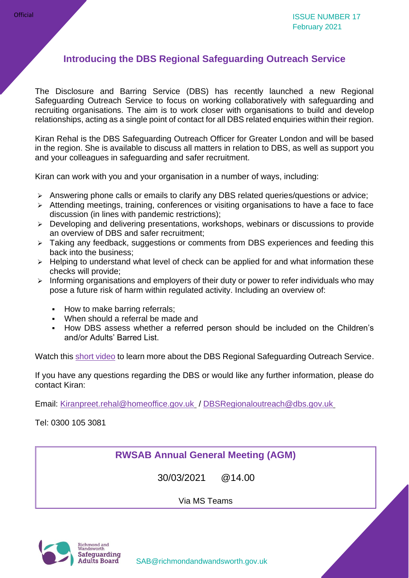# **Introducing the DBS Regional Safeguarding Outreach Service**

The Disclosure and Barring Service (DBS) has recently launched a new Regional Safeguarding Outreach Service to focus on working collaboratively with safeguarding and recruiting organisations. The aim is to work closer with organisations to build and develop relationships, acting as a single point of contact for all DBS related enquiries within their region.

Kiran Rehal is the DBS Safeguarding Outreach Officer for Greater London and will be based in the region. She is available to discuss all matters in relation to DBS, as well as support you and your colleagues in safeguarding and safer recruitment.

Kiran can work with you and your organisation in a number of ways, including:

- ➢ Answering phone calls or emails to clarify any DBS related queries/questions or advice;
- ➢ Attending meetings, training, conferences or visiting organisations to have a face to face discussion (in lines with pandemic restrictions);
- ➢ Developing and delivering presentations, workshops, webinars or discussions to provide an overview of DBS and safer recruitment;
- ➢ Taking any feedback, suggestions or comments from DBS experiences and feeding this back into the business;
- ➢ Helping to understand what level of check can be applied for and what information these checks will provide;
- ➢ Informing organisations and employers of their duty or power to refer individuals who may pose a future risk of harm within regulated activity. Including an overview of:
	- How to make barring referrals;
	- When should a referral be made and
	- How DBS assess whether a referred person should be included on the Children's and/or Adults' Barred List.

Watch this [short video](https://youtu.be/-R6rLDME8ZI) to learn more about the DBS Regional Safeguarding Outreach Service.

If you have any questions regarding the DBS or would like any further information, please do contact Kiran:

Email: [Kiranpreet.rehal@homeoffice.gov.uk](mailto:Kiranpreet.rehal@homeoffice.gov.uk) / [DBSRegionaloutreach@dbs.gov.uk](mailto:DBSRegionaloutreach@dbs.gov.uk)

Tel: 0300 105 3081

**RWSAB Annual General Meeting (AGM)**

30/03/2021 @14.00

Via MS Teams

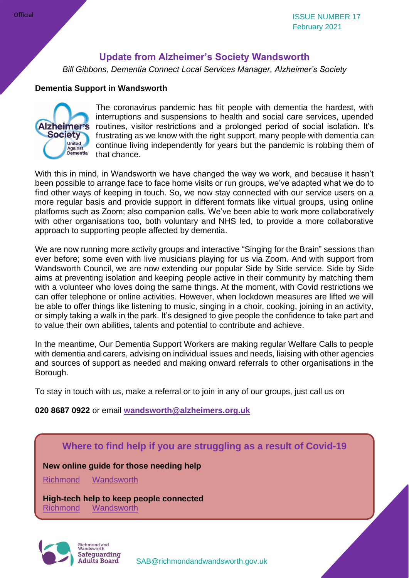## **Update from Alzheimer's Society Wandsworth**

*Bill Gibbons, Dementia Connect Local Services Manager, Alzheimer's Society*

#### **Dementia Support in Wandsworth**



The coronavirus pandemic has hit people with dementia the hardest, with interruptions and suspensions to health and social care services, upended routines, visitor restrictions and a prolonged period of social isolation. It's frustrating as we know with the right support, many people with dementia can continue living independently for years but the pandemic is robbing them of that chance.

With this in mind, in Wandsworth we have changed the way we work, and because it hasn't been possible to arrange face to face home visits or run groups, we've adapted what we do to find other ways of keeping in touch. So, we now stay connected with our service users on a more regular basis and provide support in different formats like virtual groups, using online platforms such as Zoom; also companion calls. We've been able to work more collaboratively with other organisations too, both voluntary and NHS led, to provide a more collaborative approach to supporting people affected by dementia.

We are now running more activity groups and interactive "Singing for the Brain" sessions than ever before; some even with live musicians playing for us via Zoom. And with support from Wandsworth Council, we are now extending our popular Side by Side service. Side by Side aims at preventing isolation and keeping people active in their community by matching them with a volunteer who loves doing the same things. At the moment, with Covid restrictions we can offer telephone or online activities. However, when lockdown measures are lifted we will be able to offer things like listening to music, singing in a choir, cooking, joining in an activity, or simply taking a walk in the park. It's designed to give people the confidence to take part and to value their own abilities, talents and potential to contribute and achieve.

In the meantime, Our Dementia Support Workers are making regular Welfare Calls to people with dementia and carers, advising on individual issues and needs, liaising with other agencies and sources of support as needed and making onward referrals to other organisations in the Borough.

To stay in touch with us, make a referral or to join in any of our groups, just call us on

#### **020 8687 0922** or email **[wandsworth@alzheimers.org.uk](mailto:wandsworth@alzheimers.org.uk)**

### **Where to find help if you are struggling as a result of Covid-19**

#### **New online guide for those needing help**

[Richmond](https://www.richmond.gov.uk/i_need_help) [Wandsworth](https://www.wandsworth.gov.uk/health-and-social-care/public-health/coronavirus/where-can-i-find-help-or-support/)

**High-tech help to keep people connected** [Richmond](https://www.richmond.gov.uk/council/news/press_office/older_news/press_releases_november_2020/care_technology_helping_vulnerable_residents) [Wandsworth](https://www.wandsworth.gov.uk/news/news-nov-2020/high-tech-help-to-keep-people-connected/)